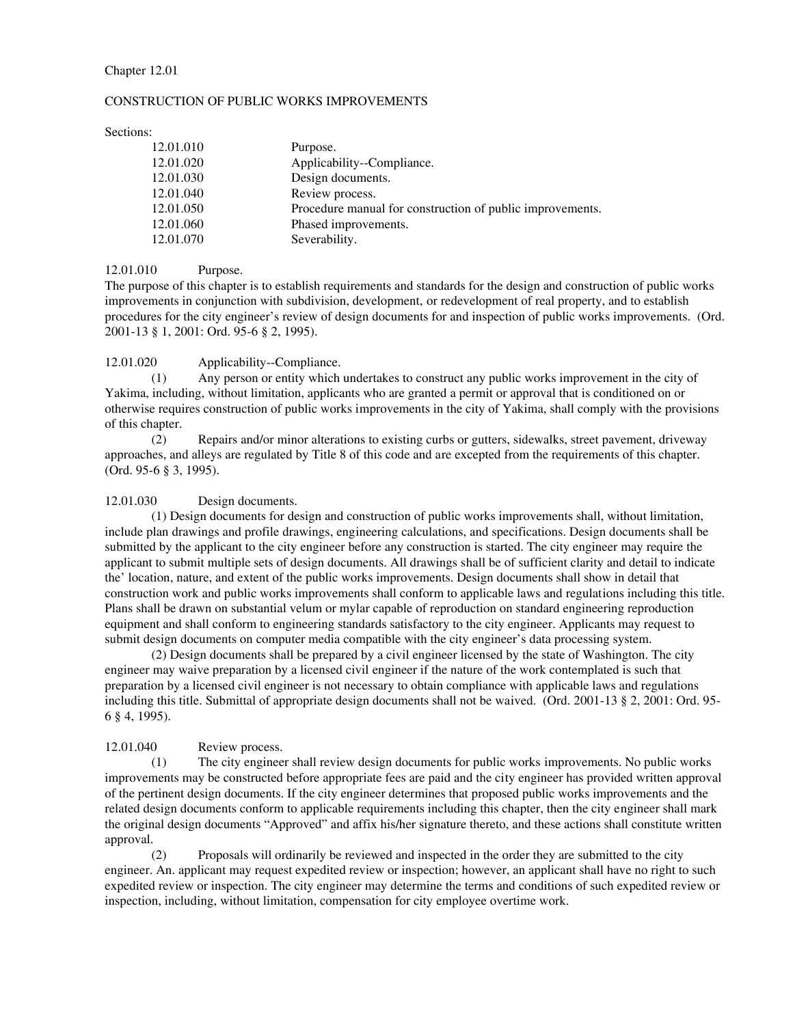## Chapter 12.01

#### CONSTRUCTION OF PUBLIC WORKS IMPROVEMENTS

Sections:

| 12.01.010 | Purpose.                                                  |
|-----------|-----------------------------------------------------------|
| 12.01.020 | Applicability--Compliance.                                |
| 12.01.030 | Design documents.                                         |
| 12.01.040 | Review process.                                           |
| 12.01.050 | Procedure manual for construction of public improvements. |
| 12.01.060 | Phased improvements.                                      |
| 12.01.070 | Severability.                                             |

## 12.01.010 Purpose.

The purpose of this chapter is to establish requirements and standards for the design and construction of public works improvements in conjunction with subdivision, development, or redevelopment of real property, and to establish procedures for the city engineer's review of design documents for and inspection of public works improvements. (Ord. 2001-13 § 1, 2001: Ord. 95-6 § 2, 1995).

## 12.01.020 Applicability--Compliance.

(1) Any person or entity which undertakes to construct any public works improvement in the city of Yakima, including, without limitation, applicants who are granted a permit or approval that is conditioned on or otherwise requires construction of public works improvements in the city of Yakima, shall comply with the provisions of this chapter.

(2) Repairs and/or minor alterations to existing curbs or gutters, sidewalks, street pavement, driveway approaches, and alleys are regulated by Title 8 of this code and are excepted from the requirements of this chapter. (Ord. 95-6 § 3, 1995).

## 12.01.030 Design documents.

(1) Design documents for design and construction of public works improvements shall, without limitation, include plan drawings and profile drawings, engineering calculations, and specifications. Design documents shall be submitted by the applicant to the city engineer before any construction is started. The city engineer may require the applicant to submit multiple sets of design documents. All drawings shall be of sufficient clarity and detail to indicate the' location, nature, and extent of the public works improvements. Design documents shall show in detail that construction work and public works improvements shall conform to applicable laws and regulations including this title. Plans shall be drawn on substantial velum or mylar capable of reproduction on standard engineering reproduction equipment and shall conform to engineering standards satisfactory to the city engineer. Applicants may request to submit design documents on computer media compatible with the city engineer's data processing system.

(2) Design documents shall be prepared by a civil engineer licensed by the state of Washington. The city engineer may waive preparation by a licensed civil engineer if the nature of the work contemplated is such that preparation by a licensed civil engineer is not necessary to obtain compliance with applicable laws and regulations including this title. Submittal of appropriate design documents shall not be waived. (Ord. 2001-13 § 2, 2001: Ord. 95- 6 § 4, 1995).

# 12.01.040 Review process.

(1) The city engineer shall review design documents for public works improvements. No public works improvements may be constructed before appropriate fees are paid and the city engineer has provided written approval of the pertinent design documents. If the city engineer determines that proposed public works improvements and the related design documents conform to applicable requirements including this chapter, then the city engineer shall mark the original design documents "Approved" and affix his/her signature thereto, and these actions shall constitute written approval.

(2) Proposals will ordinarily be reviewed and inspected in the order they are submitted to the city engineer. An. applicant may request expedited review or inspection; however, an applicant shall have no right to such expedited review or inspection. The city engineer may determine the terms and conditions of such expedited review or inspection, including, without limitation, compensation for city employee overtime work.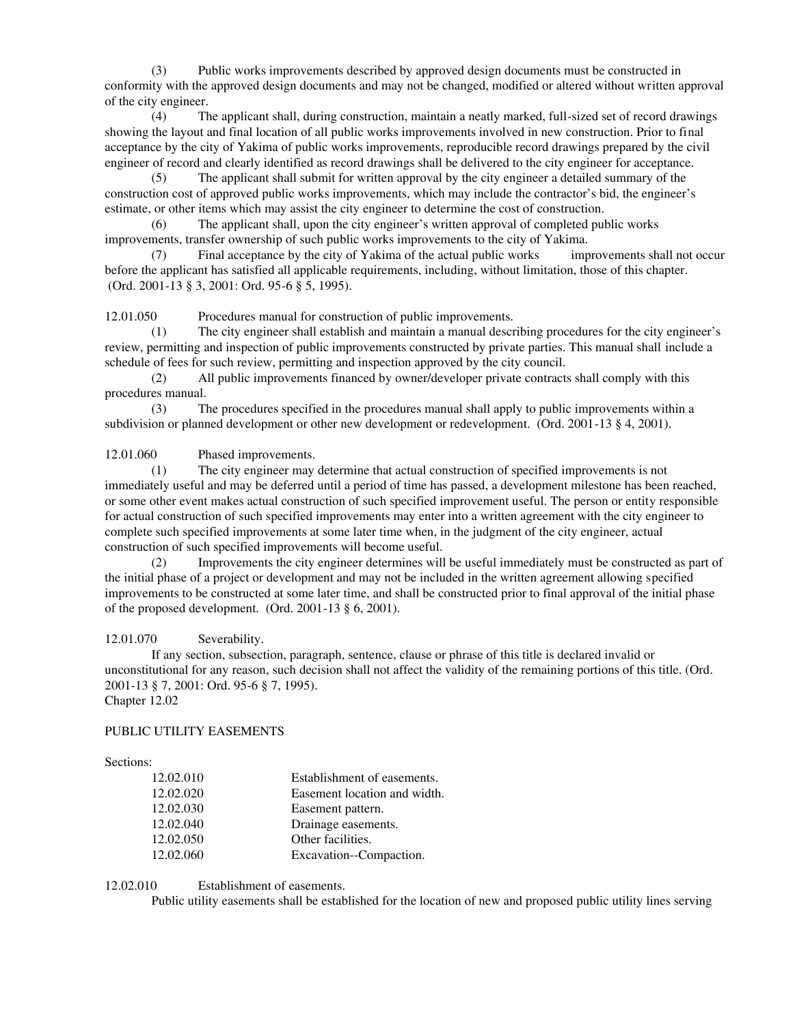(3) Public works improvements described by approved design documents must be constructed in conformity with the approved design documents and may not be changed, modified or altered without written approval of the city engineer.

(4) The applicant shall, during construction, maintain a neatly marked, full-sized set of record drawings showing the layout and final location of all public works improvements involved in new construction. Prior to final acceptance by the city of Yakima of public works improvements, reproducible record drawings prepared by the civil engineer of record and clearly identified as record drawings shall be delivered to the city engineer for acceptance.

(5) The applicant shall submit for written approval by the city engineer a detailed summary of the construction cost of approved public works improvements, which may include the contractor's bid, the engineer's estimate, or other items which may assist the city engineer to determine the cost of construction.

(6) The applicant shall, upon the city engineer's written approval of completed public works improvements, transfer ownership of such public works improvements to the city of Yakima.

(7) Final acceptance by the city of Yakima of the actual public works improvements shall not occur before the applicant has satisfied all applicable requirements, including, without limitation, those of this chapter. (Ord. 2001-13 § 3, 2001: Ord. 95-6 § 5, 1995).

12.01.050 Procedures manual for construction of public improvements.

(1) The city engineer shall establish and maintain a manual describing procedures for the city engineer's review, permitting and inspection of public improvements constructed by private parties. This manual shall include a schedule of fees for such review, permitting and inspection approved by the city council.

(2) All public improvements financed by owner/developer private contracts shall comply with this procedures manual.

(3) The procedures specified in the procedures manual shall apply to public improvements within a subdivision or planned development or other new development or redevelopment. (Ord. 2001-13 § 4, 2001).

12.01.060 Phased improvements.

(1) The city engineer may determine that actual construction of specified improvements is not immediately useful and may be deferred until a period of time has passed, a development milestone has been reached, or some other event makes actual construction of such specified improvement useful. The person or entity responsible for actual construction of such specified improvements may enter into a written agreement with the city engineer to complete such specified improvements at some later time when, in the judgment of the city engineer, actual construction of such specified improvements will become useful.

(2) Improvements the city engineer determines will be useful immediately must be constructed as part of the initial phase of a project or development and may not be included in the written agreement allowing specified improvements to be constructed at some later time, and shall be constructed prior to final approval of the initial phase of the proposed development. (Ord.  $2001-13 \tS 6$ ,  $2001$ ).

# 12.01.070 Severability.

If any section, subsection, paragraph, sentence, clause or phrase of this title is declared invalid or unconstitutional for any reason, such decision shall not affect the validity of the remaining portions of this title. (Ord. 2001-13 § 7, 2001: Ord. 95-6 § 7, 1995). Chapter 12.02

# PUBLIC UTILITY EASEMENTS

# Sections:

| 12.02.010 | Establishment of easements.  |
|-----------|------------------------------|
| 12.02.020 | Easement location and width. |
| 12.02.030 | Easement pattern.            |
| 12.02.040 | Drainage easements.          |
| 12.02.050 | Other facilities.            |
| 12.02.060 | Excavation--Compaction.      |

12.02.010 Establishment of easements.

Public utility easements shall be established for the location of new and proposed public utility lines serving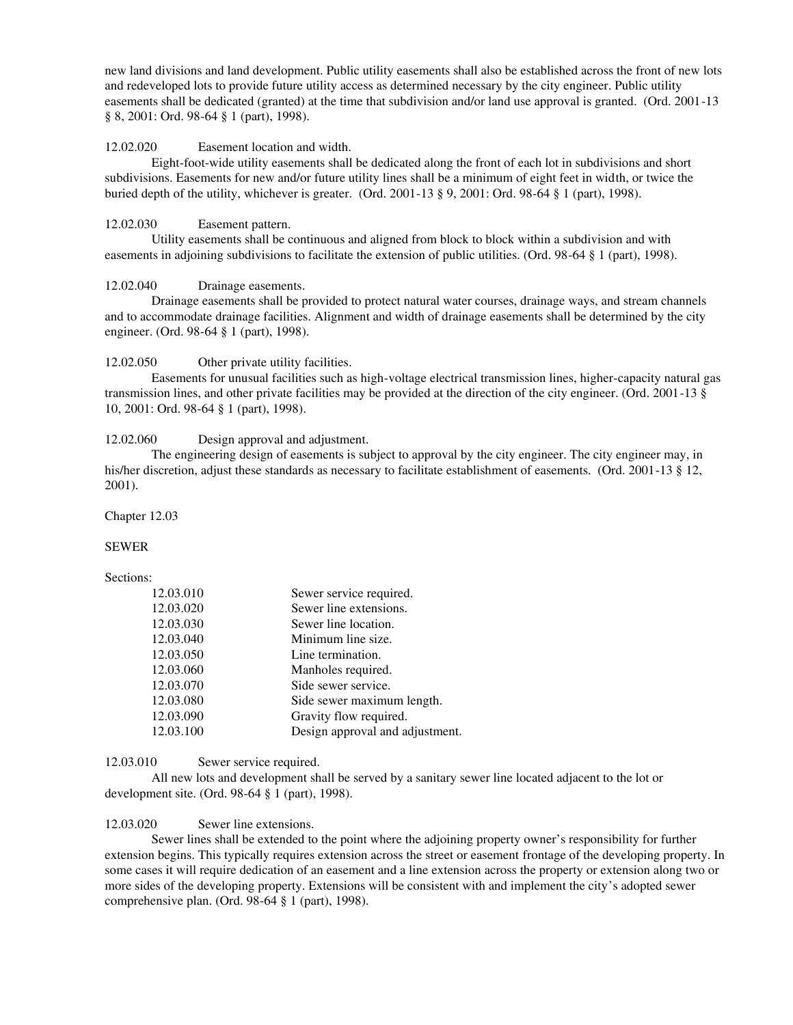new land divisions and land development. Public utility easements shall also be established across the front of new lots and redeveloped lots to provide future utility access as determined necessary by the city engineer. Public utility easements shall be dedicated (granted) at the time that subdivision and/or land use approval is granted. (Ord. 2001-13 § 8, 2001: Ord. 98-64 § 1 (part), 1998).

#### 12.02.020 Easement location and width.

Eight-foot-wide utility easements shall be dedicated along the front of each lot in subdivisions and short subdivisions. Easements for new and/or future utility lines shall be a minimum of eight feet in width, or twice the buried depth of the utility, whichever is greater. (Ord. 2001-13 § 9, 2001: Ord. 98-64 § 1 (part), 1998).

#### 12.02.030 Easement pattern.

Utility easements shall be continuous and aligned from block to block within a subdivision and with easements in adjoining subdivisions to facilitate the extension of public utilities. (Ord. 98-64 § 1 (part), 1998).

# 12.02.040 Drainage easements.

Drainage easements shall be provided to protect natural water courses, drainage ways, and stream channels and to accommodate drainage facilities. Alignment and width of drainage easements shall be determined by the city engineer. (Ord. 98-64 § 1 (part), 1998).

#### 12.02.050 Other private utility facilities.

Easements for unusual facilities such as high-voltage electrical transmission lines, higher-capacity natural gas transmission lines, and other private facilities may be provided at the direction of the city engineer. (Ord. 2001-13 § 10, 2001: Ord. 98-64 § 1 (part), 1998).

#### 12.02.060 Design approval and adjustment.

The engineering design of easements is subject to approval by the city engineer. The city engineer may, in his/her discretion, adjust these standards as necessary to facilitate establishment of easements. (Ord. 2001-13 § 12, 2001).

#### Chapter 12.03

#### SEWER

#### Sections:

| 12.03.010 | Sewer service required.         |
|-----------|---------------------------------|
| 12.03.020 | Sewer line extensions.          |
| 12.03.030 | Sewer line location.            |
| 12.03.040 | Minimum line size.              |
| 12.03.050 | Line termination.               |
| 12.03.060 | Manholes required.              |
| 12.03.070 | Side sewer service.             |
| 12.03.080 | Side sewer maximum length.      |
| 12.03.090 | Gravity flow required.          |
| 12.03.100 | Design approval and adjustment. |

## 12.03.010 Sewer service required.

All new lots and development shall be served by a sanitary sewer line located adjacent to the lot or development site. (Ord. 98-64 § 1 (part), 1998).

#### 12.03.020 Sewer line extensions.

Sewer lines shall be extended to the point where the adjoining property owner's responsibility for further extension begins. This typically requires extension across the street or easement frontage of the developing property. In some cases it will require dedication of an easement and a line extension across the property or extension along two or more sides of the developing property. Extensions will be consistent with and implement the city's adopted sewer comprehensive plan. (Ord. 98-64 § 1 (part), 1998).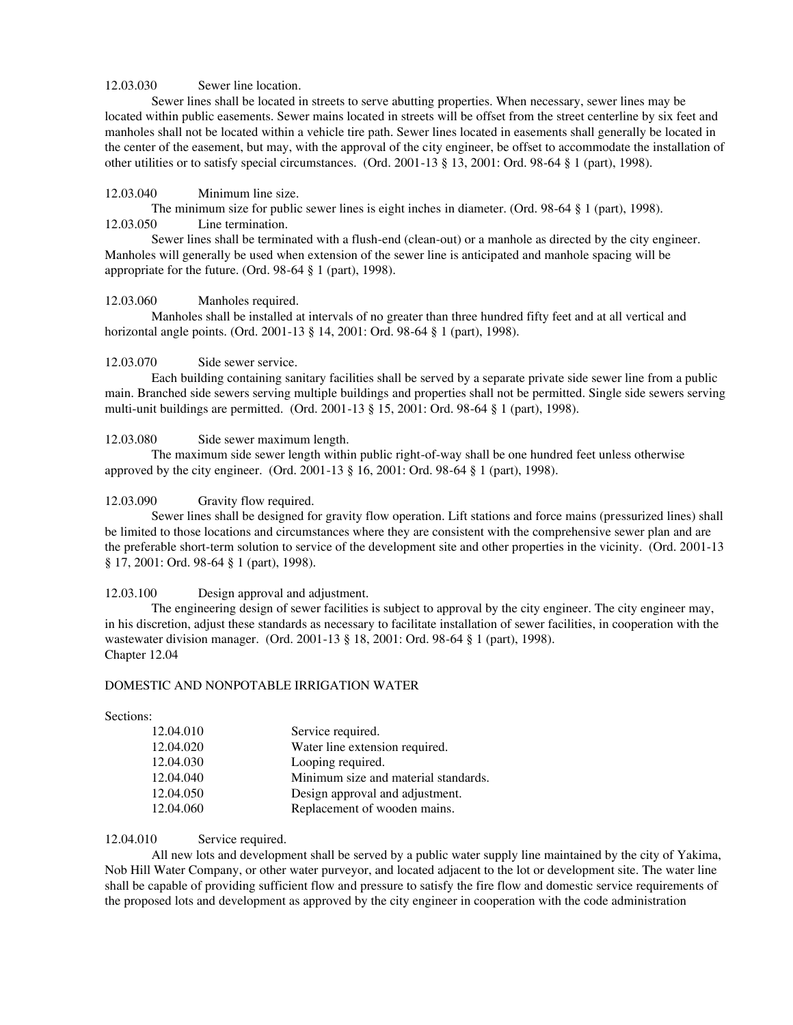## 12.03.030 Sewer line location.

Sewer lines shall be located in streets to serve abutting properties. When necessary, sewer lines may be located within public easements. Sewer mains located in streets will be offset from the street centerline by six feet and manholes shall not be located within a vehicle tire path. Sewer lines located in easements shall generally be located in the center of the easement, but may, with the approval of the city engineer, be offset to accommodate the installation of other utilities or to satisfy special circumstances. (Ord. 2001-13 § 13, 2001: Ord. 98-64 § 1 (part), 1998).

## 12.03.040 Minimum line size.

The minimum size for public sewer lines is eight inches in diameter. (Ord. 98-64 § 1 (part), 1998). 12.03.050 Line termination.

Sewer lines shall be terminated with a flush-end (clean-out) or a manhole as directed by the city engineer. Manholes will generally be used when extension of the sewer line is anticipated and manhole spacing will be appropriate for the future. (Ord. 98-64 § 1 (part), 1998).

## 12.03.060 Manholes required.

Manholes shall be installed at intervals of no greater than three hundred fifty feet and at all vertical and horizontal angle points. (Ord. 2001-13 § 14, 2001: Ord. 98-64 § 1 (part), 1998).

## 12.03.070 Side sewer service.

Each building containing sanitary facilities shall be served by a separate private side sewer line from a public main. Branched side sewers serving multiple buildings and properties shall not be permitted. Single side sewers serving multi-unit buildings are permitted. (Ord. 2001-13 § 15, 2001: Ord. 98-64 § 1 (part), 1998).

## 12.03.080 Side sewer maximum length.

The maximum side sewer length within public right-of-way shall be one hundred feet unless otherwise approved by the city engineer. (Ord. 2001-13 § 16, 2001: Ord. 98-64 § 1 (part), 1998).

## 12.03.090 Gravity flow required.

Sewer lines shall be designed for gravity flow operation. Lift stations and force mains (pressurized lines) shall be limited to those locations and circumstances where they are consistent with the comprehensive sewer plan and are the preferable short-term solution to service of the development site and other properties in the vicinity. (Ord. 2001-13 § 17, 2001: Ord. 98-64 § 1 (part), 1998).

#### 12.03.100 Design approval and adjustment.

The engineering design of sewer facilities is subject to approval by the city engineer. The city engineer may, in his discretion, adjust these standards as necessary to facilitate installation of sewer facilities, in cooperation with the wastewater division manager. (Ord. 2001-13 § 18, 2001: Ord. 98-64 § 1 (part), 1998). Chapter 12.04

#### DOMESTIC AND NONPOTABLE IRRIGATION WATER

Sections:

| 12.04.010 | Service required.                    |
|-----------|--------------------------------------|
| 12.04.020 | Water line extension required.       |
| 12.04.030 | Looping required.                    |
| 12.04.040 | Minimum size and material standards. |
| 12.04.050 | Design approval and adjustment.      |
| 12.04.060 | Replacement of wooden mains.         |

## 12.04.010 Service required.

All new lots and development shall be served by a public water supply line maintained by the city of Yakima, Nob Hill Water Company, or other water purveyor, and located adjacent to the lot or development site. The water line shall be capable of providing sufficient flow and pressure to satisfy the fire flow and domestic service requirements of the proposed lots and development as approved by the city engineer in cooperation with the code administration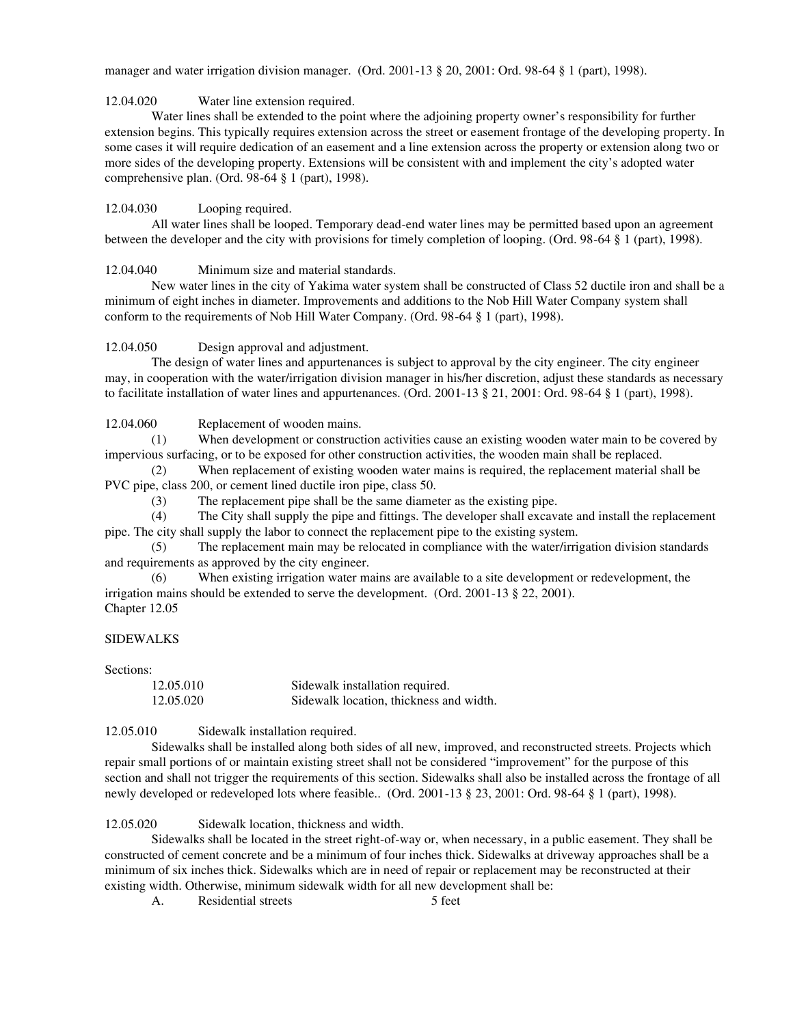manager and water irrigation division manager. (Ord. 2001-13 § 20, 2001: Ord. 98-64 § 1 (part), 1998).

12.04.020 Water line extension required.

Water lines shall be extended to the point where the adjoining property owner's responsibility for further extension begins. This typically requires extension across the street or easement frontage of the developing property. In some cases it will require dedication of an easement and a line extension across the property or extension along two or more sides of the developing property. Extensions will be consistent with and implement the city's adopted water comprehensive plan. (Ord. 98-64 § 1 (part), 1998).

12.04.030 Looping required.

All water lines shall be looped. Temporary dead-end water lines may be permitted based upon an agreement between the developer and the city with provisions for timely completion of looping. (Ord. 98-64 § 1 (part), 1998).

12.04.040 Minimum size and material standards.

New water lines in the city of Yakima water system shall be constructed of Class 52 ductile iron and shall be a minimum of eight inches in diameter. Improvements and additions to the Nob Hill Water Company system shall conform to the requirements of Nob Hill Water Company. (Ord. 98-64 § 1 (part), 1998).

12.04.050 Design approval and adjustment.

The design of water lines and appurtenances is subject to approval by the city engineer. The city engineer may, in cooperation with the water/irrigation division manager in his/her discretion, adjust these standards as necessary to facilitate installation of water lines and appurtenances. (Ord. 2001-13 § 21, 2001: Ord. 98-64 § 1 (part), 1998).

12.04.060 Replacement of wooden mains.

(1) When development or construction activities cause an existing wooden water main to be covered by impervious surfacing, or to be exposed for other construction activities, the wooden main shall be replaced.

(2) When replacement of existing wooden water mains is required, the replacement material shall be PVC pipe, class 200, or cement lined ductile iron pipe, class 50.

(3) The replacement pipe shall be the same diameter as the existing pipe.

(4) The City shall supply the pipe and fittings. The developer shall excavate and install the replacement pipe. The city shall supply the labor to connect the replacement pipe to the existing system.

(5) The replacement main may be relocated in compliance with the water/irrigation division standards and requirements as approved by the city engineer.

(6) When existing irrigation water mains are available to a site development or redevelopment, the irrigation mains should be extended to serve the development. (Ord. 2001-13 § 22, 2001). Chapter 12.05

# SIDEWALKS

Sections:

| 12.05.010 | Sidewalk installation required.         |
|-----------|-----------------------------------------|
| 12.05.020 | Sidewalk location, thickness and width. |

12.05.010 Sidewalk installation required.

Sidewalks shall be installed along both sides of all new, improved, and reconstructed streets. Projects which repair small portions of or maintain existing street shall not be considered "improvement" for the purpose of this section and shall not trigger the requirements of this section. Sidewalks shall also be installed across the frontage of all newly developed or redeveloped lots where feasible.. (Ord. 2001-13 § 23, 2001: Ord. 98-64 § 1 (part), 1998).

12.05.020 Sidewalk location, thickness and width.

Sidewalks shall be located in the street right-of-way or, when necessary, in a public easement. They shall be constructed of cement concrete and be a minimum of four inches thick. Sidewalks at driveway approaches shall be a minimum of six inches thick. Sidewalks which are in need of repair or replacement may be reconstructed at their existing width. Otherwise, minimum sidewalk width for all new development shall be:

A. Residential streets 5 feet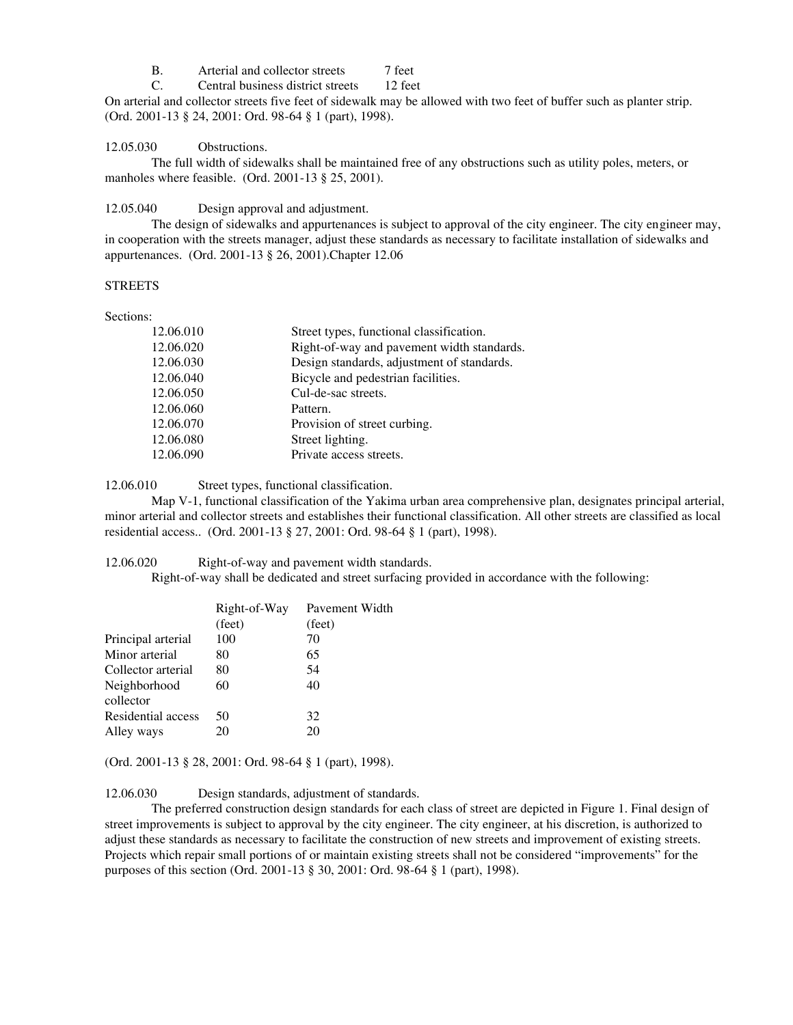B. Arterial and collector streets 7 feet

C. Central business district streets 12 feet

On arterial and collector streets five feet of sidewalk may be allowed with two feet of buffer such as planter strip. (Ord. 2001-13 § 24, 2001: Ord. 98-64 § 1 (part), 1998).

12.05.030 Obstructions.

The full width of sidewalks shall be maintained free of any obstructions such as utility poles, meters, or manholes where feasible. (Ord. 2001-13 § 25, 2001).

12.05.040 Design approval and adjustment.

The design of sidewalks and appurtenances is subject to approval of the city engineer. The city engineer may, in cooperation with the streets manager, adjust these standards as necessary to facilitate installation of sidewalks and appurtenances. (Ord. 2001-13 § 26, 2001).Chapter 12.06

# **STREETS**

Sections:

| 12.06.010 | Street types, functional classification.   |
|-----------|--------------------------------------------|
| 12.06.020 | Right-of-way and pavement width standards. |
| 12.06.030 | Design standards, adjustment of standards. |
| 12.06.040 | Bicycle and pedestrian facilities.         |
| 12.06.050 | Cul-de-sac streets.                        |
| 12.06.060 | Pattern.                                   |
| 12.06.070 | Provision of street curbing.               |
| 12.06.080 | Street lighting.                           |
| 12.06.090 | Private access streets.                    |
|           |                                            |

12.06.010 Street types, functional classification.

Map V-1, functional classification of the Yakima urban area comprehensive plan, designates principal arterial, minor arterial and collector streets and establishes their functional classification. All other streets are classified as local residential access.. (Ord. 2001-13 § 27, 2001: Ord. 98-64 § 1 (part), 1998).

12.06.020 Right-of-way and pavement width standards.

Right-of-way shall be dedicated and street surfacing provided in accordance with the following:

|                           | Right-of-Way | Pavement Width |
|---------------------------|--------------|----------------|
|                           | (feet)       | (feet)         |
| Principal arterial        | 100          | 70             |
| Minor arterial            | 80           | 65             |
| Collector arterial        | 80           | 54             |
| Neighborhood<br>collector | 60           | 40             |
| Residential access        | 50           | 32             |
| Alley ways                | 20           | 20             |
|                           |              |                |

(Ord. 2001-13 § 28, 2001: Ord. 98-64 § 1 (part), 1998).

12.06.030 Design standards, adjustment of standards.

The preferred construction design standards for each class of street are depicted in Figure 1. Final design of street improvements is subject to approval by the city engineer. The city engineer, at his discretion, is authorized to adjust these standards as necessary to facilitate the construction of new streets and improvement of existing streets. Projects which repair small portions of or maintain existing streets shall not be considered "improvements" for the purposes of this section (Ord. 2001-13 § 30, 2001: Ord. 98-64 § 1 (part), 1998).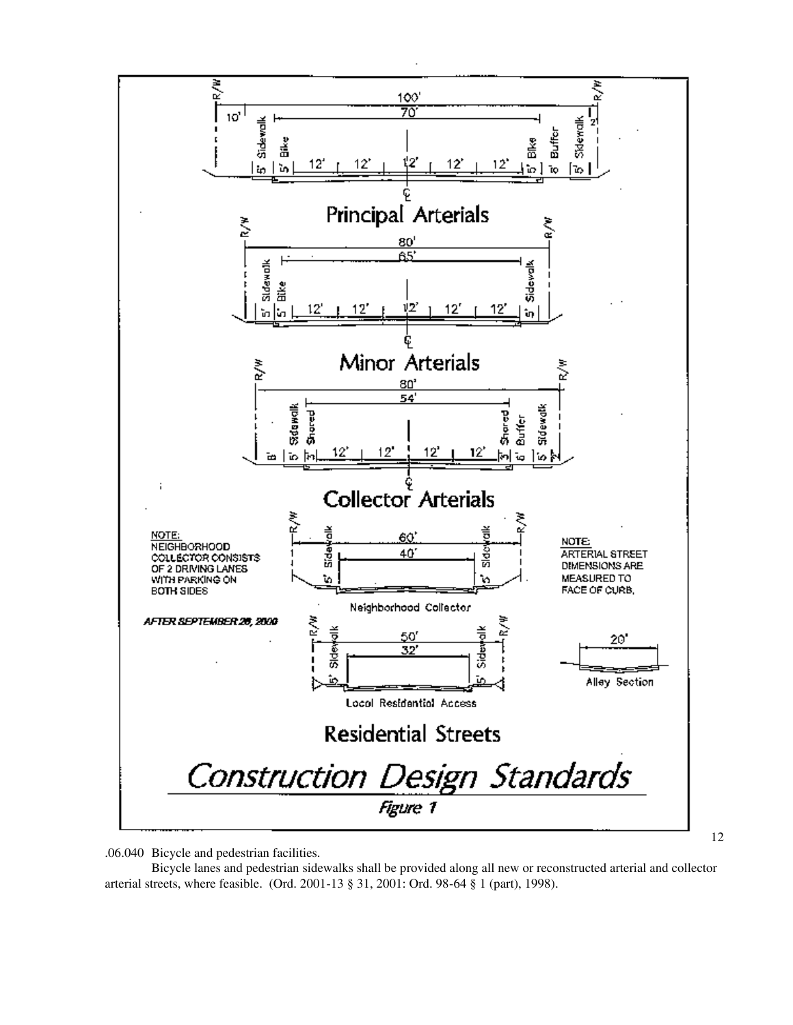

.06.040 Bicycle and pedestrian facilities.

Bicycle lanes and pedestrian sidewalks shall be provided along all new or reconstructed arterial and collector arterial streets, where feasible. (Ord. 2001-13 § 31, 2001: Ord. 98-64 § 1 (part), 1998).

12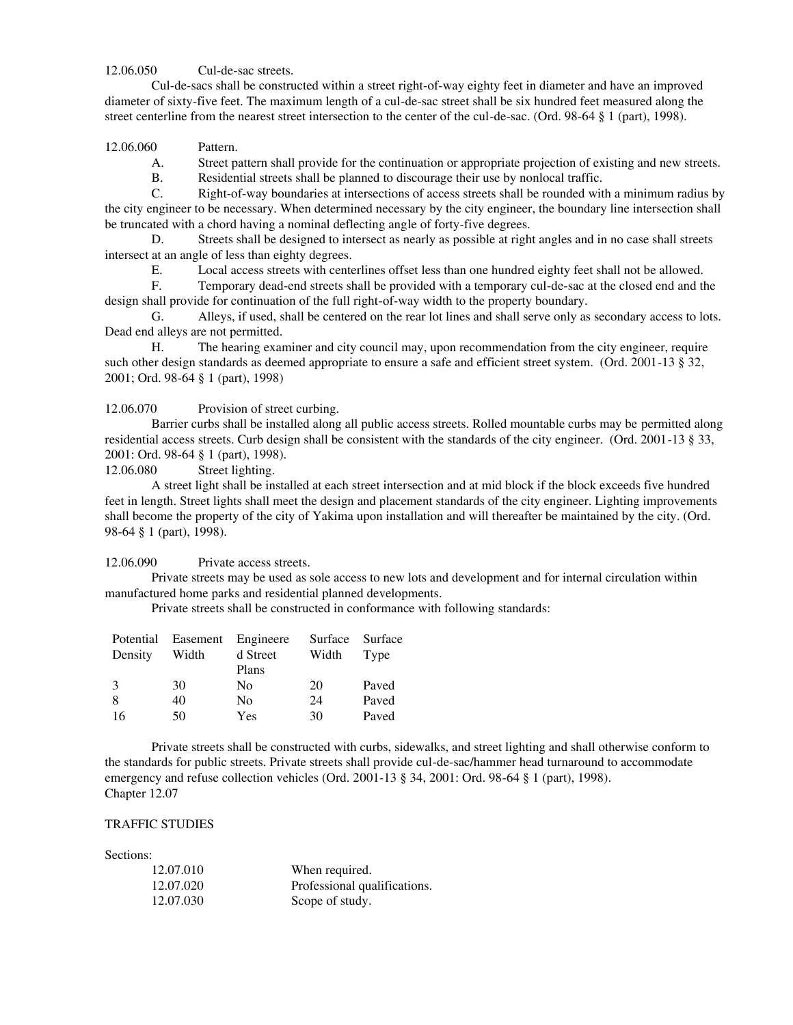12.06.050 Cul-de-sac streets.

Cul-de-sacs shall be constructed within a street right-of-way eighty feet in diameter and have an improved diameter of sixty-five feet. The maximum length of a cul-de-sac street shall be six hundred feet measured along the street centerline from the nearest street intersection to the center of the cul-de-sac. (Ord. 98-64 § 1 (part), 1998).

12.06.060 Pattern.

A. Street pattern shall provide for the continuation or appropriate projection of existing and new streets.

B. Residential streets shall be planned to discourage their use by nonlocal traffic.

C. Right-of-way boundaries at intersections of access streets shall be rounded with a minimum radius by the city engineer to be necessary. When determined necessary by the city engineer, the boundary line intersection shall be truncated with a chord having a nominal deflecting angle of forty-five degrees.

D. Streets shall be designed to intersect as nearly as possible at right angles and in no case shall streets intersect at an angle of less than eighty degrees.

E. Local access streets with centerlines offset less than one hundred eighty feet shall not be allowed.

F. Temporary dead-end streets shall be provided with a temporary cul-de-sac at the closed end and the design shall provide for continuation of the full right-of-way width to the property boundary.

G. Alleys, if used, shall be centered on the rear lot lines and shall serve only as secondary access to lots. Dead end alleys are not permitted.

H. The hearing examiner and city council may, upon recommendation from the city engineer, require such other design standards as deemed appropriate to ensure a safe and efficient street system. (Ord. 2001-13 § 32, 2001; Ord. 98-64 § 1 (part), 1998)

12.06.070 Provision of street curbing.

Barrier curbs shall be installed along all public access streets. Rolled mountable curbs may be permitted along residential access streets. Curb design shall be consistent with the standards of the city engineer. (Ord. 2001-13 § 33, 2001: Ord. 98-64 § 1 (part), 1998).

12.06.080 Street lighting.

A street light shall be installed at each street intersection and at mid block if the block exceeds five hundred feet in length. Street lights shall meet the design and placement standards of the city engineer. Lighting improvements shall become the property of the city of Yakima upon installation and will thereafter be maintained by the city. (Ord. 98-64 § 1 (part), 1998).

12.06.090 Private access streets.

Private streets may be used as sole access to new lots and development and for internal circulation within manufactured home parks and residential planned developments.

Private streets shall be constructed in conformance with following standards:

| Potential     |       | Easement Engineere | Surface | Surface |
|---------------|-------|--------------------|---------|---------|
| Density       | Width | d Street           | Width   | Type    |
|               |       | Plans              |         |         |
| $\mathcal{F}$ | 30    | No                 | 20      | Paved   |
| 8             | 40    | N <sub>0</sub>     | 24      | Paved   |
| 16            | 50    | Yes                | 30      | Paved   |

Private streets shall be constructed with curbs, sidewalks, and street lighting and shall otherwise conform to the standards for public streets. Private streets shall provide cul-de-sac/hammer head turnaround to accommodate emergency and refuse collection vehicles (Ord. 2001-13 § 34, 2001: Ord. 98-64 § 1 (part), 1998). Chapter 12.07

# TRAFFIC STUDIES

Sections:

| 12.07.010 | When required.               |
|-----------|------------------------------|
| 12.07.020 | Professional qualifications. |
| 12.07.030 | Scope of study.              |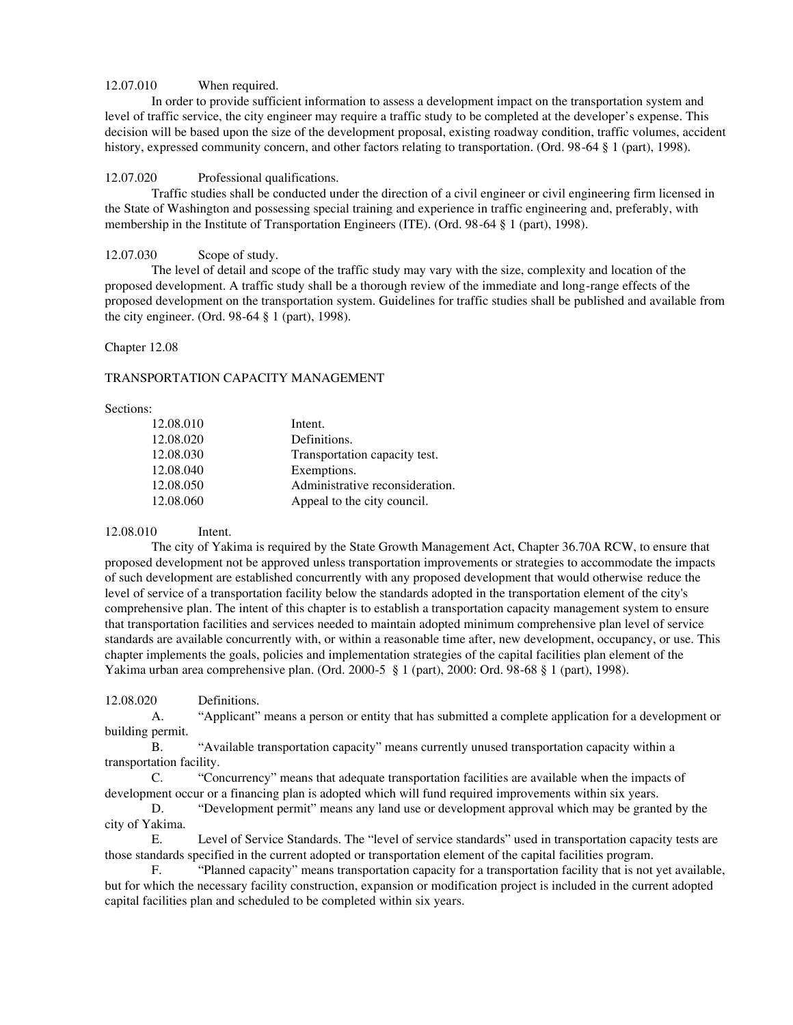# 12.07.010 When required.

In order to provide sufficient information to assess a development impact on the transportation system and level of traffic service, the city engineer may require a traffic study to be completed at the developer's expense. This decision will be based upon the size of the development proposal, existing roadway condition, traffic volumes, accident history, expressed community concern, and other factors relating to transportation. (Ord. 98-64 § 1 (part), 1998).

## 12.07.020 Professional qualifications.

Traffic studies shall be conducted under the direction of a civil engineer or civil engineering firm licensed in the State of Washington and possessing special training and experience in traffic engineering and, preferably, with membership in the Institute of Transportation Engineers (ITE). (Ord. 98-64 § 1 (part), 1998).

# 12.07.030 Scope of study.

The level of detail and scope of the traffic study may vary with the size, complexity and location of the proposed development. A traffic study shall be a thorough review of the immediate and long-range effects of the proposed development on the transportation system. Guidelines for traffic studies shall be published and available from the city engineer. (Ord. 98-64 § 1 (part), 1998).

#### Chapter 12.08

## TRANSPORTATION CAPACITY MANAGEMENT

#### Sections:

| 12.08.010 | Intent.                         |
|-----------|---------------------------------|
| 12.08.020 | Definitions.                    |
| 12.08.030 | Transportation capacity test.   |
| 12.08.040 | Exemptions.                     |
| 12.08.050 | Administrative reconsideration. |
| 12.08.060 | Appeal to the city council.     |

#### 12.08.010 Intent.

The city of Yakima is required by the State Growth Management Act, Chapter 36.70A RCW, to ensure that proposed development not be approved unless transportation improvements or strategies to accommodate the impacts of such development are established concurrently with any proposed development that would otherwise reduce the level of service of a transportation facility below the standards adopted in the transportation element of the city's comprehensive plan. The intent of this chapter is to establish a transportation capacity management system to ensure that transportation facilities and services needed to maintain adopted minimum comprehensive plan level of service standards are available concurrently with, or within a reasonable time after, new development, occupancy, or use. This chapter implements the goals, policies and implementation strategies of the capital facilities plan element of the Yakima urban area comprehensive plan. (Ord. 2000-5 § 1 (part), 2000: Ord. 98-68 § 1 (part), 1998).

12.08.020 Definitions.

A. "Applicant" means a person or entity that has submitted a complete application for a development or building permit.

B. "Available transportation capacity" means currently unused transportation capacity within a transportation facility.

C. "Concurrency" means that adequate transportation facilities are available when the impacts of development occur or a financing plan is adopted which will fund required improvements within six years.

D. "Development permit" means any land use or development approval which may be granted by the city of Yakima.

E. Level of Service Standards. The "level of service standards" used in transportation capacity tests are those standards specified in the current adopted or transportation element of the capital facilities program.

F. "Planned capacity" means transportation capacity for a transportation facility that is not yet available, but for which the necessary facility construction, expansion or modification project is included in the current adopted capital facilities plan and scheduled to be completed within six years.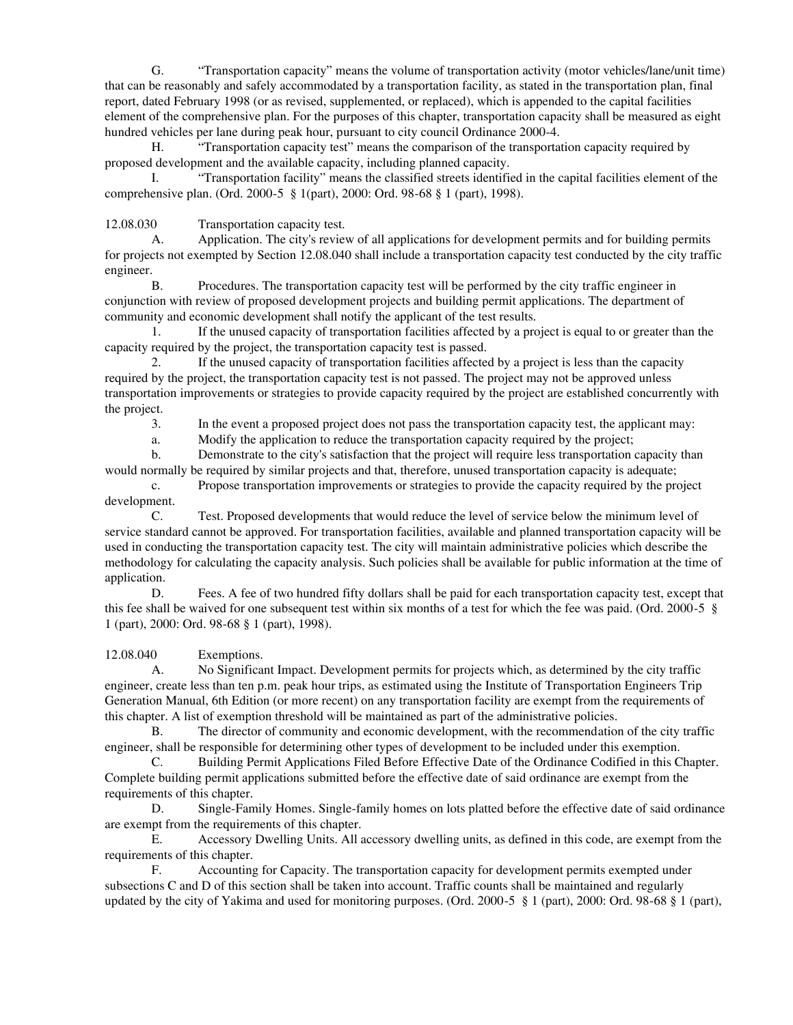G. "Transportation capacity" means the volume of transportation activity (motor vehicles/lane/unit time) that can be reasonably and safely accommodated by a transportation facility, as stated in the transportation plan, final report, dated February 1998 (or as revised, supplemented, or replaced), which is appended to the capital facilities element of the comprehensive plan. For the purposes of this chapter, transportation capacity shall be measured as eight hundred vehicles per lane during peak hour, pursuant to city council Ordinance 2000-4.

H. "Transportation capacity test" means the comparison of the transportation capacity required by proposed development and the available capacity, including planned capacity.

I. "Transportation facility" means the classified streets identified in the capital facilities element of the comprehensive plan. (Ord. 2000-5 § 1(part), 2000: Ord. 98-68 § 1 (part), 1998).

12.08.030 Transportation capacity test.

A. Application. The city's review of all applications for development permits and for building permits for projects not exempted by Section 12.08.040 shall include a transportation capacity test conducted by the city traffic engineer.

B. Procedures. The transportation capacity test will be performed by the city traffic engineer in conjunction with review of proposed development projects and building permit applications. The department of community and economic development shall notify the applicant of the test results.

1. If the unused capacity of transportation facilities affected by a project is equal to or greater than the capacity required by the project, the transportation capacity test is passed.

2. If the unused capacity of transportation facilities affected by a project is less than the capacity required by the project, the transportation capacity test is not passed. The project may not be approved unless transportation improvements or strategies to provide capacity required by the project are established concurrently with the project.

3. In the event a proposed project does not pass the transportation capacity test, the applicant may:

a. Modify the application to reduce the transportation capacity required by the project;

b. Demonstrate to the city's satisfaction that the project will require less transportation capacity than would normally be required by similar projects and that, therefore, unused transportation capacity is adequate;

c. Propose transportation improvements or strategies to provide the capacity required by the project development.

C. Test. Proposed developments that would reduce the level of service below the minimum level of service standard cannot be approved. For transportation facilities, available and planned transportation capacity will be used in conducting the transportation capacity test. The city will maintain administrative policies which describe the methodology for calculating the capacity analysis. Such policies shall be available for public information at the time of application.

D. Fees. A fee of two hundred fifty dollars shall be paid for each transportation capacity test, except that this fee shall be waived for one subsequent test within six months of a test for which the fee was paid. (Ord. 2000-5 § 1 (part), 2000: Ord. 98-68 § 1 (part), 1998).

12.08.040 Exemptions.

A. No Significant Impact. Development permits for projects which, as determined by the city traffic engineer, create less than ten p.m. peak hour trips, as estimated using the Institute of Transportation Engineers Trip Generation Manual, 6th Edition (or more recent) on any transportation facility are exempt from the requirements of this chapter. A list of exemption threshold will be maintained as part of the administrative policies.

B. The director of community and economic development, with the recommendation of the city traffic engineer, shall be responsible for determining other types of development to be included under this exemption.

C. Building Permit Applications Filed Before Effective Date of the Ordinance Codified in this Chapter. Complete building permit applications submitted before the effective date of said ordinance are exempt from the requirements of this chapter.

D. Single-Family Homes. Single-family homes on lots platted before the effective date of said ordinance are exempt from the requirements of this chapter.

E. Accessory Dwelling Units. All accessory dwelling units, as defined in this code, are exempt from the requirements of this chapter.

F. Accounting for Capacity. The transportation capacity for development permits exempted under subsections C and D of this section shall be taken into account. Traffic counts shall be maintained and regularly updated by the city of Yakima and used for monitoring purposes. (Ord. 2000-5 § 1 (part), 2000: Ord. 98-68 § 1 (part),